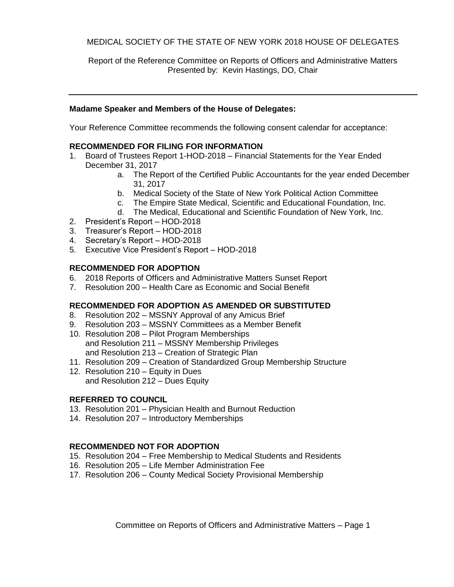## MEDICAL SOCIETY OF THE STATE OF NEW YORK 2018 HOUSE OF DELEGATES

Report of the Reference Committee on Reports of Officers and Administrative Matters Presented by: Kevin Hastings, DO, Chair

#### **Madame Speaker and Members of the House of Delegates:**

Your Reference Committee recommends the following consent calendar for acceptance:

#### **RECOMMENDED FOR FILING FOR INFORMATION**

- 1. Board of Trustees Report 1-HOD-2018 Financial Statements for the Year Ended December 31, 2017
	- a. The Report of the Certified Public Accountants for the year ended December 31, 2017
	- b. Medical Society of the State of New York Political Action Committee
	- c. The Empire State Medical, Scientific and Educational Foundation, Inc.
	- d. The Medical, Educational and Scientific Foundation of New York, Inc.
- 2. President's Report HOD-2018
- 3. Treasurer's Report HOD-2018
- 4. Secretary's Report HOD-2018
- 5. Executive Vice President's Report HOD-2018

#### **RECOMMENDED FOR ADOPTION**

- 6. 2018 Reports of Officers and Administrative Matters Sunset Report
- 7. Resolution 200 Health Care as Economic and Social Benefit

### **RECOMMENDED FOR ADOPTION AS AMENDED OR SUBSTITUTED**

- 8. Resolution 202 MSSNY Approval of any Amicus Brief
- 9. Resolution 203 MSSNY Committees as a Member Benefit
- 10. Resolution 208 Pilot Program Memberships and Resolution 211 – MSSNY Membership Privileges and Resolution 213 – Creation of Strategic Plan
- 11. Resolution 209 Creation of Standardized Group Membership Structure
- 12. Resolution 210 Equity in Dues and Resolution 212 – Dues Equity

#### **REFERRED TO COUNCIL**

- 13. Resolution 201 Physician Health and Burnout Reduction
- 14. Resolution 207 Introductory Memberships

### **RECOMMENDED NOT FOR ADOPTION**

- 15. Resolution 204 Free Membership to Medical Students and Residents
- 16. Resolution 205 Life Member Administration Fee
- 17. Resolution 206 County Medical Society Provisional Membership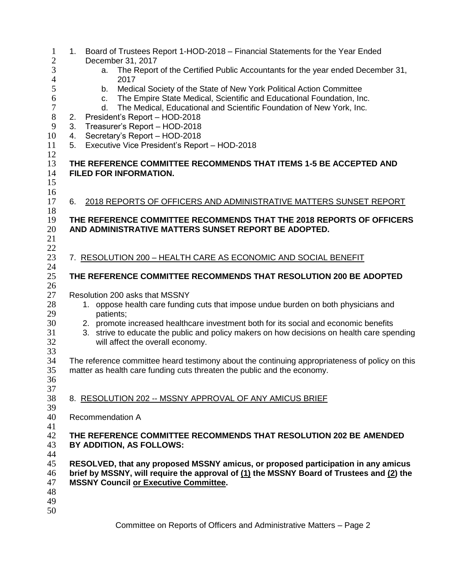| $\mathbf{1}$<br>$\overline{2}$ | 1.                                                                                                                                                                                                                            | Board of Trustees Report 1-HOD-2018 - Financial Statements for the Year Ended<br>December 31, 2017                                                                                                                        |  |  |
|--------------------------------|-------------------------------------------------------------------------------------------------------------------------------------------------------------------------------------------------------------------------------|---------------------------------------------------------------------------------------------------------------------------------------------------------------------------------------------------------------------------|--|--|
| 3                              |                                                                                                                                                                                                                               | The Report of the Certified Public Accountants for the year ended December 31,<br>a.                                                                                                                                      |  |  |
| $\overline{4}$<br>5<br>6       |                                                                                                                                                                                                                               | 2017<br>Medical Society of the State of New York Political Action Committee<br>b.<br>The Empire State Medical, Scientific and Educational Foundation, Inc.<br>C.                                                          |  |  |
| $\boldsymbol{7}$<br>$8\,$      | The Medical, Educational and Scientific Foundation of New York, Inc.<br>d.<br>President's Report - HOD-2018                                                                                                                   |                                                                                                                                                                                                                           |  |  |
| 9                              | 2.<br>Treasurer's Report - HOD-2018<br>3.                                                                                                                                                                                     |                                                                                                                                                                                                                           |  |  |
| 10                             | 4.                                                                                                                                                                                                                            | Secretary's Report - HOD-2018                                                                                                                                                                                             |  |  |
| 11<br>12                       | 5.                                                                                                                                                                                                                            | Executive Vice President's Report - HOD-2018                                                                                                                                                                              |  |  |
| 13<br>14<br>15<br>16           |                                                                                                                                                                                                                               | THE REFERENCE COMMITTEE RECOMMENDS THAT ITEMS 1-5 BE ACCEPTED AND<br><b>FILED FOR INFORMATION.</b>                                                                                                                        |  |  |
| 17                             | 6.                                                                                                                                                                                                                            | 2018 REPORTS OF OFFICERS AND ADMINISTRATIVE MATTERS SUNSET REPORT                                                                                                                                                         |  |  |
| 18<br>19                       |                                                                                                                                                                                                                               | THE REFERENCE COMMITTEE RECOMMENDS THAT THE 2018 REPORTS OF OFFICERS<br>AND ADMINISTRATIVE MATTERS SUNSET REPORT BE ADOPTED.                                                                                              |  |  |
| 20<br>21<br>22                 |                                                                                                                                                                                                                               |                                                                                                                                                                                                                           |  |  |
| 23                             |                                                                                                                                                                                                                               | 7. RESOLUTION 200 - HEALTH CARE AS ECONOMIC AND SOCIAL BENEFIT                                                                                                                                                            |  |  |
| 24<br>25                       |                                                                                                                                                                                                                               | THE REFERENCE COMMITTEE RECOMMENDS THAT RESOLUTION 200 BE ADOPTED                                                                                                                                                         |  |  |
| 26<br>27                       |                                                                                                                                                                                                                               | Resolution 200 asks that MSSNY                                                                                                                                                                                            |  |  |
| 28<br>29                       |                                                                                                                                                                                                                               | 1. oppose health care funding cuts that impose undue burden on both physicians and<br>patients;                                                                                                                           |  |  |
| 30<br>31<br>32                 |                                                                                                                                                                                                                               | 2. promote increased healthcare investment both for its social and economic benefits<br>strive to educate the public and policy makers on how decisions on health care spending<br>3.<br>will affect the overall economy. |  |  |
| 33<br>34<br>35                 |                                                                                                                                                                                                                               | The reference committee heard testimony about the continuing appropriateness of policy on this<br>matter as health care funding cuts threaten the public and the economy.                                                 |  |  |
| 36                             |                                                                                                                                                                                                                               |                                                                                                                                                                                                                           |  |  |
| 37<br>38                       |                                                                                                                                                                                                                               | 8. RESOLUTION 202 -- MSSNY APPROVAL OF ANY AMICUS BRIEF                                                                                                                                                                   |  |  |
| 39<br>40                       |                                                                                                                                                                                                                               | <b>Recommendation A</b>                                                                                                                                                                                                   |  |  |
| 41                             |                                                                                                                                                                                                                               |                                                                                                                                                                                                                           |  |  |
| 42<br>43                       |                                                                                                                                                                                                                               | THE REFERENCE COMMITTEE RECOMMENDS THAT RESOLUTION 202 BE AMENDED<br>BY ADDITION, AS FOLLOWS:                                                                                                                             |  |  |
| 44<br>45<br>46<br>47           | RESOLVED, that any proposed MSSNY amicus, or proposed participation in any amicus<br>brief by MSSNY, will require the approval of (1) the MSSNY Board of Trustees and (2) the<br><b>MSSNY Council or Executive Committee.</b> |                                                                                                                                                                                                                           |  |  |
| 48<br>49<br>50                 |                                                                                                                                                                                                                               |                                                                                                                                                                                                                           |  |  |
|                                |                                                                                                                                                                                                                               |                                                                                                                                                                                                                           |  |  |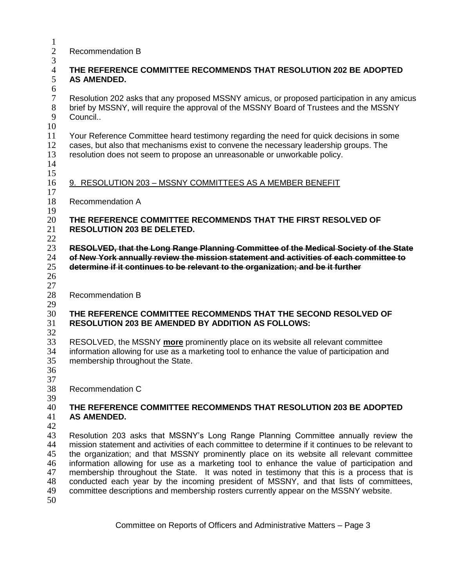Recommendation B

# **THE REFERENCE COMMITTEE RECOMMENDS THAT RESOLUTION 202 BE ADOPTED AS AMENDED.**

7 Resolution 202 asks that any proposed MSSNY amicus, or proposed participation in any amicus<br>8 brief by MSSNY, will require the approval of the MSSNY Board of Trustees and the MSSNY brief by MSSNY, will require the approval of the MSSNY Board of Trustees and the MSSNY Council..

 Your Reference Committee heard testimony regarding the need for quick decisions in some cases, but also that mechanisms exist to convene the necessary leadership groups. The resolution does not seem to propose an unreasonable or unworkable policy.

 

 $\frac{3}{4}$ 

 $\frac{6}{7}$ 

- 9. RESOLUTION 203 MSSNY COMMITTEES AS A MEMBER BENEFIT
- Recommendation A

#### $\frac{19}{20}$  **THE REFERENCE COMMITTEE RECOMMENDS THAT THE FIRST RESOLVED OF RESOLUTION 203 BE DELETED.**

 $rac{22}{23}$  **RESOLVED, that the Long Range Planning Committee of the Medical Society of the State of New York annually review the mission statement and activities of each committee to determine if it continues to be relevant to the organization; and be it further**

  $\frac{27}{28}$ 

Recommendation B

### $\frac{29}{30}$  **THE REFERENCE COMMITTEE RECOMMENDS THAT THE SECOND RESOLVED OF RESOLUTION 203 BE AMENDED BY ADDITION AS FOLLOWS:**

 RESOLVED, the MSSNY **more** prominently place on its website all relevant committee  $\frac{1}{2}$  information allowing for use as a marketing tool to enhance the value of participation and membership throughout the State.

 $\frac{37}{38}$ 

Recommendation C

#### **THE REFERENCE COMMITTEE RECOMMENDS THAT RESOLUTION 203 BE ADOPTED AS AMENDED.**

43 Resolution 203 asks that MSSNY's Long Range Planning Committee annually review the<br>44 mission statement and activities of each committee to determine if it continues to be relevant to mission statement and activities of each committee to determine if it continues to be relevant to the organization; and that MSSNY prominently place on its website all relevant committee information allowing for use as a marketing tool to enhance the value of participation and 47 membership throughout the State. It was noted in testimony that this is a process that is 48 conducted each year by the incoming president of MSSNY, and that lists of committees. conducted each year by the incoming president of MSSNY, and that lists of committees, committee descriptions and membership rosters currently appear on the MSSNY website.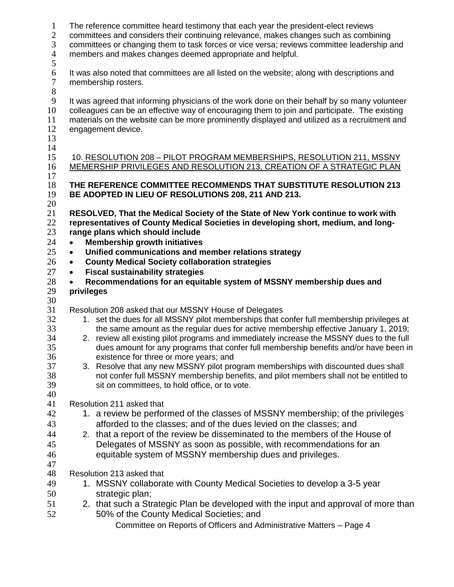| $\mathbf{1}$<br>$\mathbf{2}$<br>3<br>$\overline{4}$<br>5 | The reference committee heard testimony that each year the president-elect reviews<br>committees and considers their continuing relevance, makes changes such as combining<br>committees or changing them to task forces or vice versa; reviews committee leadership and<br>members and makes changes deemed appropriate and helpful.                                                                                                                                                                                                                                                                                                                                                                        |
|----------------------------------------------------------|--------------------------------------------------------------------------------------------------------------------------------------------------------------------------------------------------------------------------------------------------------------------------------------------------------------------------------------------------------------------------------------------------------------------------------------------------------------------------------------------------------------------------------------------------------------------------------------------------------------------------------------------------------------------------------------------------------------|
| 6<br>$\overline{7}$<br>$8\,$                             | It was also noted that committees are all listed on the website; along with descriptions and<br>membership rosters.                                                                                                                                                                                                                                                                                                                                                                                                                                                                                                                                                                                          |
| $\overline{9}$<br>10<br>11<br>12<br>13                   | It was agreed that informing physicians of the work done on their behalf by so many volunteer<br>colleagues can be an effective way of encouraging them to join and participate. The existing<br>materials on the website can be more prominently displayed and utilized as a recruitment and<br>engagement device.                                                                                                                                                                                                                                                                                                                                                                                          |
| 14<br>15<br>16<br>17                                     | 10. RESOLUTION 208 - PILOT PROGRAM MEMBERSHIPS, RESOLUTION 211, MSSNY<br>MEMERSHIP PRIVILEGES AND RESOLUTION 213, CREATION OF A STRATEGIC PLAN                                                                                                                                                                                                                                                                                                                                                                                                                                                                                                                                                               |
| 18<br>19<br>20                                           | THE REFERENCE COMMITTEE RECOMMENDS THAT SUBSTITUTE RESOLUTION 213<br>BE ADOPTED IN LIEU OF RESOLUTIONS 208, 211 AND 213.                                                                                                                                                                                                                                                                                                                                                                                                                                                                                                                                                                                     |
| 21<br>$22\,$<br>23<br>24<br>25<br>26                     | RESOLVED, That the Medical Society of the State of New York continue to work with<br>representatives of County Medical Societies in developing short, medium, and long-<br>range plans which should include<br><b>Membership growth initiatives</b><br>$\bullet$<br>Unified communications and member relations strategy<br>$\bullet$<br><b>County Medical Society collaboration strategies</b><br>٠                                                                                                                                                                                                                                                                                                         |
| 27<br>28                                                 | <b>Fiscal sustainability strategies</b><br>$\bullet$                                                                                                                                                                                                                                                                                                                                                                                                                                                                                                                                                                                                                                                         |
| 29<br>30                                                 | Recommendations for an equitable system of MSSNY membership dues and<br>privileges                                                                                                                                                                                                                                                                                                                                                                                                                                                                                                                                                                                                                           |
| 31<br>32<br>33<br>34<br>35<br>36<br>37<br>38<br>39<br>40 | Resolution 208 asked that our MSSNY House of Delegates<br>1. set the dues for all MSSNY pilot memberships that confer full membership privileges at<br>the same amount as the regular dues for active membership effective January 1, 2019;<br>2. review all existing pilot programs and immediately increase the MSSNY dues to the full<br>dues amount for any programs that confer full membership benefits and/or have been in<br>existence for three or more years; and<br>3. Resolve that any new MSSNY pilot program memberships with discounted dues shall<br>not confer full MSSNY membership benefits, and pilot members shall not be entitled to<br>sit on committees, to hold office, or to vote. |
| 41                                                       | Resolution 211 asked that                                                                                                                                                                                                                                                                                                                                                                                                                                                                                                                                                                                                                                                                                    |
| 42                                                       | 1. a review be performed of the classes of MSSNY membership; of the privileges                                                                                                                                                                                                                                                                                                                                                                                                                                                                                                                                                                                                                               |
| 43                                                       | afforded to the classes; and of the dues levied on the classes; and                                                                                                                                                                                                                                                                                                                                                                                                                                                                                                                                                                                                                                          |
| 44                                                       | 2. that a report of the review be disseminated to the members of the House of<br>Delegates of MSSNY as soon as possible, with recommendations for an                                                                                                                                                                                                                                                                                                                                                                                                                                                                                                                                                         |
| 45<br>46                                                 | equitable system of MSSNY membership dues and privileges.                                                                                                                                                                                                                                                                                                                                                                                                                                                                                                                                                                                                                                                    |
| 47                                                       |                                                                                                                                                                                                                                                                                                                                                                                                                                                                                                                                                                                                                                                                                                              |
| 48                                                       | Resolution 213 asked that                                                                                                                                                                                                                                                                                                                                                                                                                                                                                                                                                                                                                                                                                    |
| 49                                                       | 1. MSSNY collaborate with County Medical Societies to develop a 3-5 year                                                                                                                                                                                                                                                                                                                                                                                                                                                                                                                                                                                                                                     |
| 50                                                       | strategic plan;                                                                                                                                                                                                                                                                                                                                                                                                                                                                                                                                                                                                                                                                                              |
| 51<br>52                                                 | 2. that such a Strategic Plan be developed with the input and approval of more than<br>50% of the County Medical Societies; and                                                                                                                                                                                                                                                                                                                                                                                                                                                                                                                                                                              |
|                                                          | Committee on Reports of Officers and Administrative Matters - Page 4                                                                                                                                                                                                                                                                                                                                                                                                                                                                                                                                                                                                                                         |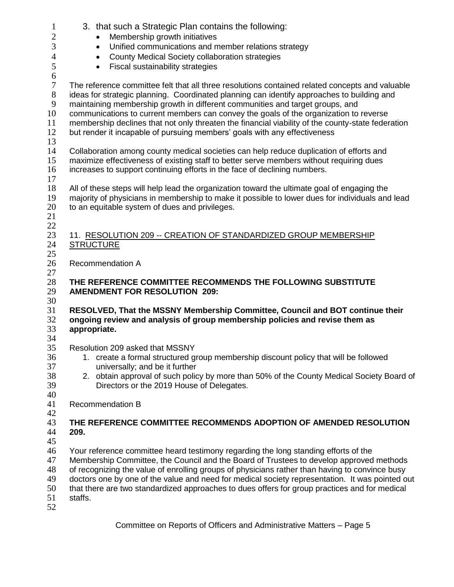| $\mathbf{1}$     | 3. that such a Strategic Plan contains the following:                                             |  |  |  |  |
|------------------|---------------------------------------------------------------------------------------------------|--|--|--|--|
| $\overline{c}$   | Membership growth initiatives                                                                     |  |  |  |  |
| 3                | Unified communications and member relations strategy<br>$\bullet$                                 |  |  |  |  |
| 4                | County Medical Society collaboration strategies<br>$\bullet$                                      |  |  |  |  |
| $\mathfrak s$    |                                                                                                   |  |  |  |  |
|                  | Fiscal sustainability strategies<br>$\bullet$                                                     |  |  |  |  |
| $\boldsymbol{6}$ |                                                                                                   |  |  |  |  |
| $\boldsymbol{7}$ | The reference committee felt that all three resolutions contained related concepts and valuable   |  |  |  |  |
| $8\,$            | ideas for strategic planning. Coordinated planning can identify approaches to building and        |  |  |  |  |
| $\mathbf{9}$     | maintaining membership growth in different communities and target groups, and                     |  |  |  |  |
| 10               | communications to current members can convey the goals of the organization to reverse             |  |  |  |  |
| 11               | membership declines that not only threaten the financial viability of the county-state federation |  |  |  |  |
| 12               | but render it incapable of pursuing members' goals with any effectiveness                         |  |  |  |  |
| 13               |                                                                                                   |  |  |  |  |
| 14               | Collaboration among county medical societies can help reduce duplication of efforts and           |  |  |  |  |
| 15               | maximize effectiveness of existing staff to better serve members without requiring dues           |  |  |  |  |
| 16               | increases to support continuing efforts in the face of declining numbers.                         |  |  |  |  |
| 17               |                                                                                                   |  |  |  |  |
| 18               | All of these steps will help lead the organization toward the ultimate goal of engaging the       |  |  |  |  |
| 19               | majority of physicians in membership to make it possible to lower dues for individuals and lead   |  |  |  |  |
| 20               | to an equitable system of dues and privileges.                                                    |  |  |  |  |
| 21               |                                                                                                   |  |  |  |  |
|                  |                                                                                                   |  |  |  |  |
| 22               |                                                                                                   |  |  |  |  |
| 23               | 11. RESOLUTION 209 -- CREATION OF STANDARDIZED GROUP MEMBERSHIP                                   |  |  |  |  |
| 24               | <b>STRUCTURE</b>                                                                                  |  |  |  |  |
| 25               |                                                                                                   |  |  |  |  |
| 26               | <b>Recommendation A</b>                                                                           |  |  |  |  |
| 27               |                                                                                                   |  |  |  |  |
| 28               | THE REFERENCE COMMITTEE RECOMMENDS THE FOLLOWING SUBSTITUTE                                       |  |  |  |  |
| 29               | <b>AMENDMENT FOR RESOLUTION 209:</b>                                                              |  |  |  |  |
| 30               |                                                                                                   |  |  |  |  |
| 31               | RESOLVED, That the MSSNY Membership Committee, Council and BOT continue their                     |  |  |  |  |
| 32               | ongoing review and analysis of group membership policies and revise them as                       |  |  |  |  |
| 33               | appropriate.                                                                                      |  |  |  |  |
| 34               |                                                                                                   |  |  |  |  |
| 35               |                                                                                                   |  |  |  |  |
| 36               | Resolution 209 asked that MSSNY                                                                   |  |  |  |  |
|                  |                                                                                                   |  |  |  |  |
|                  | 1. create a formal structured group membership discount policy that will be followed              |  |  |  |  |
| 37               | universally; and be it further                                                                    |  |  |  |  |
| 38               | 2. obtain approval of such policy by more than 50% of the County Medical Society Board of         |  |  |  |  |
| 39               | Directors or the 2019 House of Delegates.                                                         |  |  |  |  |
| 40               |                                                                                                   |  |  |  |  |
| 41               | <b>Recommendation B</b>                                                                           |  |  |  |  |
| 42               |                                                                                                   |  |  |  |  |
| 43               | THE REFERENCE COMMITTEE RECOMMENDS ADOPTION OF AMENDED RESOLUTION                                 |  |  |  |  |
| 44               | 209.                                                                                              |  |  |  |  |
| 45               |                                                                                                   |  |  |  |  |
| 46               | Your reference committee heard testimony regarding the long standing efforts of the               |  |  |  |  |
| 47               | Membership Committee, the Council and the Board of Trustees to develop approved methods           |  |  |  |  |
| 48               | of recognizing the value of enrolling groups of physicians rather than having to convince busy    |  |  |  |  |
| 49               | doctors one by one of the value and need for medical society representation. It was pointed out   |  |  |  |  |
| 50               | that there are two standardized approaches to dues offers for group practices and for medical     |  |  |  |  |
| 51<br>52         | staffs.                                                                                           |  |  |  |  |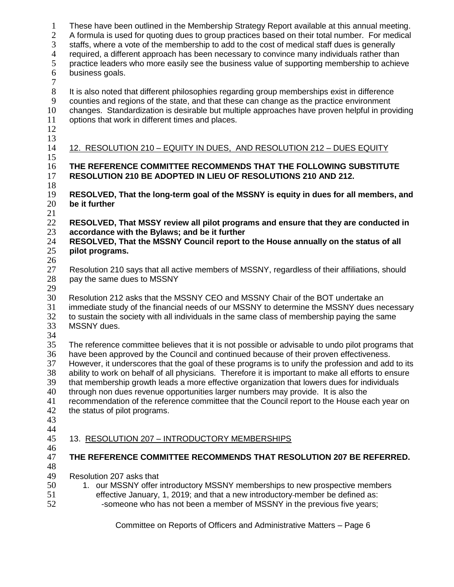| $\mathbf{1}$<br>$\overline{2}$<br>3<br>$\overline{4}$<br>5<br>6<br>$\tau$ | These have been outlined in the Membership Strategy Report available at this annual meeting.<br>A formula is used for quoting dues to group practices based on their total number. For medical<br>staffs, where a vote of the membership to add to the cost of medical staff dues is generally<br>required, a different approach has been necessary to convince many individuals rather than<br>practice leaders who more easily see the business value of supporting membership to achieve<br>business goals.                                                                                                                                                                                                               |  |  |  |  |
|---------------------------------------------------------------------------|------------------------------------------------------------------------------------------------------------------------------------------------------------------------------------------------------------------------------------------------------------------------------------------------------------------------------------------------------------------------------------------------------------------------------------------------------------------------------------------------------------------------------------------------------------------------------------------------------------------------------------------------------------------------------------------------------------------------------|--|--|--|--|
| 8<br>$\boldsymbol{9}$<br>10<br>11<br>12<br>13                             | It is also noted that different philosophies regarding group memberships exist in difference<br>counties and regions of the state, and that these can change as the practice environment<br>changes. Standardization is desirable but multiple approaches have proven helpful in providing<br>options that work in different times and places.                                                                                                                                                                                                                                                                                                                                                                               |  |  |  |  |
| 14                                                                        | 12. RESOLUTION 210 - EQUITY IN DUES, AND RESOLUTION 212 - DUES EQUITY                                                                                                                                                                                                                                                                                                                                                                                                                                                                                                                                                                                                                                                        |  |  |  |  |
| 15<br>16<br>17<br>18                                                      | THE REFERENCE COMMITTEE RECOMMENDS THAT THE FOLLOWING SUBSTITUTE<br>RESOLUTION 210 BE ADOPTED IN LIEU OF RESOLUTIONS 210 AND 212.                                                                                                                                                                                                                                                                                                                                                                                                                                                                                                                                                                                            |  |  |  |  |
| 19<br>20<br>21                                                            | RESOLVED, That the long-term goal of the MSSNY is equity in dues for all members, and<br>be it further                                                                                                                                                                                                                                                                                                                                                                                                                                                                                                                                                                                                                       |  |  |  |  |
| 22<br>23<br>24<br>25<br>26                                                | RESOLVED, That MSSY review all pilot programs and ensure that they are conducted in<br>accordance with the Bylaws; and be it further<br>RESOLVED, That the MSSNY Council report to the House annually on the status of all<br>pilot programs.                                                                                                                                                                                                                                                                                                                                                                                                                                                                                |  |  |  |  |
| 27<br>28<br>29                                                            | Resolution 210 says that all active members of MSSNY, regardless of their affiliations, should<br>pay the same dues to MSSNY                                                                                                                                                                                                                                                                                                                                                                                                                                                                                                                                                                                                 |  |  |  |  |
| 30<br>31<br>32<br>33<br>34                                                | Resolution 212 asks that the MSSNY CEO and MSSNY Chair of the BOT undertake an<br>immediate study of the financial needs of our MSSNY to determine the MSSNY dues necessary<br>to sustain the society with all individuals in the same class of membership paying the same<br>MSSNY dues.                                                                                                                                                                                                                                                                                                                                                                                                                                    |  |  |  |  |
| 35<br>36<br>37<br>38<br>39<br>40<br>41<br>42<br>43                        | The reference committee believes that it is not possible or advisable to undo pilot programs that<br>have been approved by the Council and continued because of their proven effectiveness.<br>However, it underscores that the goal of these programs is to unify the profession and add to its<br>ability to work on behalf of all physicians. Therefore it is important to make all efforts to ensure<br>that membership growth leads a more effective organization that lowers dues for individuals<br>through non dues revenue opportunities larger numbers may provide. It is also the<br>recommendation of the reference committee that the Council report to the House each year on<br>the status of pilot programs. |  |  |  |  |
| 44<br>45<br>46                                                            | 13. RESOLUTION 207 - INTRODUCTORY MEMBERSHIPS                                                                                                                                                                                                                                                                                                                                                                                                                                                                                                                                                                                                                                                                                |  |  |  |  |
| 47<br>48                                                                  | THE REFERENCE COMMITTEE RECOMMENDS THAT RESOLUTION 207 BE REFERRED.                                                                                                                                                                                                                                                                                                                                                                                                                                                                                                                                                                                                                                                          |  |  |  |  |
| 49<br>50<br>51<br>52                                                      | Resolution 207 asks that<br>1. our MSSNY offer introductory MSSNY memberships to new prospective members<br>effective January, 1, 2019; and that a new introductory-member be defined as:<br>-someone who has not been a member of MSSNY in the previous five years;                                                                                                                                                                                                                                                                                                                                                                                                                                                         |  |  |  |  |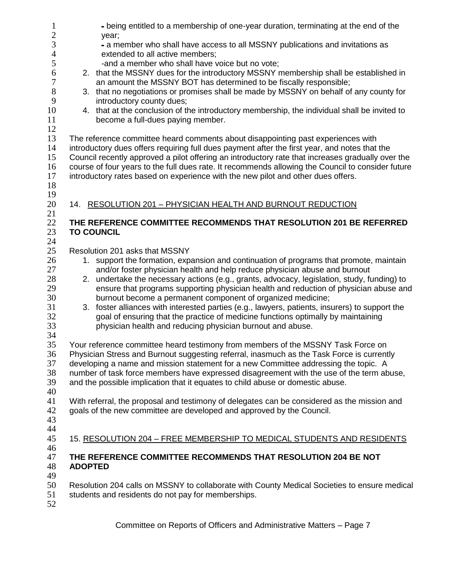| $\mathbf{1}$    | - being entitled to a membership of one-year duration, terminating at the end of the                                                                                             |  |  |  |  |
|-----------------|----------------------------------------------------------------------------------------------------------------------------------------------------------------------------------|--|--|--|--|
| $\sqrt{2}$<br>3 | year;                                                                                                                                                                            |  |  |  |  |
| $\overline{4}$  | - a member who shall have access to all MSSNY publications and invitations as<br>extended to all active members;                                                                 |  |  |  |  |
| 5               | -and a member who shall have voice but no vote;                                                                                                                                  |  |  |  |  |
| 6               | 2. that the MSSNY dues for the introductory MSSNY membership shall be established in                                                                                             |  |  |  |  |
| 7               | an amount the MSSNY BOT has determined to be fiscally responsible;                                                                                                               |  |  |  |  |
| 8               | 3. that no negotiations or promises shall be made by MSSNY on behalf of any county for                                                                                           |  |  |  |  |
| 9               | introductory county dues;                                                                                                                                                        |  |  |  |  |
| 10              | 4. that at the conclusion of the introductory membership, the individual shall be invited to                                                                                     |  |  |  |  |
| 11              | become a full-dues paying member.                                                                                                                                                |  |  |  |  |
| 12              |                                                                                                                                                                                  |  |  |  |  |
| 13              | The reference committee heard comments about disappointing past experiences with                                                                                                 |  |  |  |  |
| 14              | introductory dues offers requiring full dues payment after the first year, and notes that the                                                                                    |  |  |  |  |
| 15              | Council recently approved a pilot offering an introductory rate that increases gradually over the                                                                                |  |  |  |  |
| 16              | course of four years to the full dues rate. It recommends allowing the Council to consider future                                                                                |  |  |  |  |
| 17              | introductory rates based on experience with the new pilot and other dues offers.                                                                                                 |  |  |  |  |
| 18              |                                                                                                                                                                                  |  |  |  |  |
| 19              |                                                                                                                                                                                  |  |  |  |  |
| 20              | 14. RESOLUTION 201 - PHYSICIAN HEALTH AND BURNOUT REDUCTION                                                                                                                      |  |  |  |  |
| 21              |                                                                                                                                                                                  |  |  |  |  |
| 22              | THE REFERENCE COMMITTEE RECOMMENDS THAT RESOLUTION 201 BE REFERRED                                                                                                               |  |  |  |  |
| 23              | <b>TO COUNCIL</b>                                                                                                                                                                |  |  |  |  |
| 24              |                                                                                                                                                                                  |  |  |  |  |
| 25              | Resolution 201 asks that MSSNY                                                                                                                                                   |  |  |  |  |
| 26              | 1. support the formation, expansion and continuation of programs that promote, maintain                                                                                          |  |  |  |  |
| 27              | and/or foster physician health and help reduce physician abuse and burnout                                                                                                       |  |  |  |  |
| 28              | 2. undertake the necessary actions (e.g., grants, advocacy, legislation, study, funding) to                                                                                      |  |  |  |  |
| 29              | ensure that programs supporting physician health and reduction of physician abuse and                                                                                            |  |  |  |  |
| 30              | burnout become a permanent component of organized medicine;                                                                                                                      |  |  |  |  |
| 31              | 3. foster alliances with interested parties (e.g., lawyers, patients, insurers) to support the                                                                                   |  |  |  |  |
| 32              | goal of ensuring that the practice of medicine functions optimally by maintaining                                                                                                |  |  |  |  |
| 33              | physician health and reducing physician burnout and abuse.                                                                                                                       |  |  |  |  |
| 34<br>35        |                                                                                                                                                                                  |  |  |  |  |
| 36              | Your reference committee heard testimony from members of the MSSNY Task Force on                                                                                                 |  |  |  |  |
| 37              | Physician Stress and Burnout suggesting referral, inasmuch as the Task Force is currently<br>developing a name and mission statement for a new Committee addressing the topic. A |  |  |  |  |
| 38              | number of task force members have expressed disagreement with the use of the term abuse,                                                                                         |  |  |  |  |
| 39              | and the possible implication that it equates to child abuse or domestic abuse.                                                                                                   |  |  |  |  |
| 40              |                                                                                                                                                                                  |  |  |  |  |
| 41              | With referral, the proposal and testimony of delegates can be considered as the mission and                                                                                      |  |  |  |  |
| 42              | goals of the new committee are developed and approved by the Council.                                                                                                            |  |  |  |  |
| 43              |                                                                                                                                                                                  |  |  |  |  |
| 44              |                                                                                                                                                                                  |  |  |  |  |
| 45              | 15. RESOLUTION 204 - FREE MEMBERSHIP TO MEDICAL STUDENTS AND RESIDENTS                                                                                                           |  |  |  |  |
| 46              |                                                                                                                                                                                  |  |  |  |  |
| 47              | THE REFERENCE COMMITTEE RECOMMENDS THAT RESOLUTION 204 BE NOT                                                                                                                    |  |  |  |  |
| 48              | <b>ADOPTED</b>                                                                                                                                                                   |  |  |  |  |
| 49              |                                                                                                                                                                                  |  |  |  |  |
| 50              | Resolution 204 calls on MSSNY to collaborate with County Medical Societies to ensure medical                                                                                     |  |  |  |  |
| 51              | students and residents do not pay for memberships.                                                                                                                               |  |  |  |  |
| 52              |                                                                                                                                                                                  |  |  |  |  |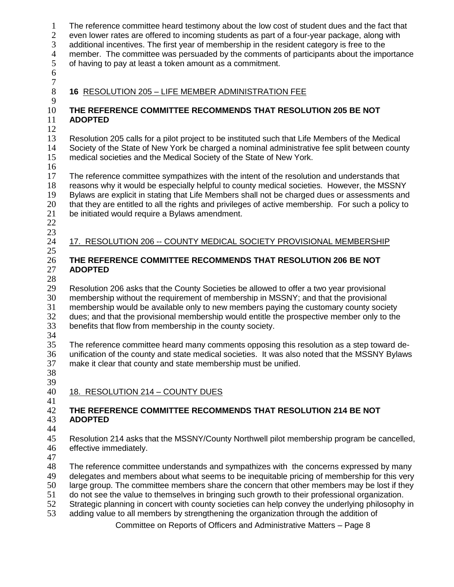The reference committee heard testimony about the low cost of student dues and the fact that even lower rates are offered to incoming students as part of a four-year package, along with additional incentives. The first year of membership in the resident category is free to the member. The committee was persuaded by the comments of participants about the importance of having to pay at least a token amount as a commitment. 

 $\frac{7}{8}$ 

# **16** RESOLUTION 205 – LIFE MEMBER ADMINISTRATION FEE

#### **THE REFERENCE COMMITTEE RECOMMENDS THAT RESOLUTION 205 BE NOT ADOPTED**

 Resolution 205 calls for a pilot project to be instituted such that Life Members of the Medical Society of the State of New York be charged a nominal administrative fee split between county medical societies and the Medical Society of the State of New York.

 $\frac{16}{17}$ 

The reference committee sympathizes with the intent of the resolution and understands that reasons why it would be especially helpful to county medical societies. However, the MSSNY Bylaws are explicit in stating that Life Members shall not be charged dues or assessments and 20 that they are entitled to all the rights and privileges of active membership. For such a policy to be initiated would require a Bylaws amendment.

  $\frac{23}{24}$ 

17. RESOLUTION 206 -- COUNTY MEDICAL SOCIETY PROVISIONAL MEMBERSHIP

# **THE REFERENCE COMMITTEE RECOMMENDS THAT RESOLUTION 206 BE NOT ADOPTED**

29 Resolution 206 asks that the County Societies be allowed to offer a two year provisional 30 membership without the requirement of membership in MSSNY; and that the provisional 30 membership without the requirement of membership in MSSNY; and that the provisional 31 membership would be available only to new members paying the customary county socie 31 membership would be available only to new members paying the customary county society<br>32 dues; and that the provisional membership would entitle the prospective member only to the 32 dues; and that the provisional membership would entitle the prospective member only to the 33 benefits that flow from membership in the county society. benefits that flow from membership in the county society.

 The reference committee heard many comments opposing this resolution as a step toward de-36 unification of the county and state medical societies. It was also noted that the MSSNY Bylaws<br>37 make it clear that county and state membership must be unified. make it clear that county and state membership must be unified.

39<br>40 18. RESOLUTION 214 - COUNTY DUES

#### **THE REFERENCE COMMITTEE RECOMMENDS THAT RESOLUTION 214 BE NOT ADOPTED**

 Resolution 214 asks that the MSSNY/County Northwell pilot membership program be cancelled, effective immediately.

 The reference committee understands and sympathizes with the concerns expressed by many delegates and members about what seems to be inequitable pricing of membership for this very large group. The committee members share the concern that other members may be lost if they

do not see the value to themselves in bringing such growth to their professional organization.

52 Strategic planning in concert with county societies can help convey the underlying philosophy in<br>53 adding value to all members by strengthening the organization through the addition of

adding value to all members by strengthening the organization through the addition of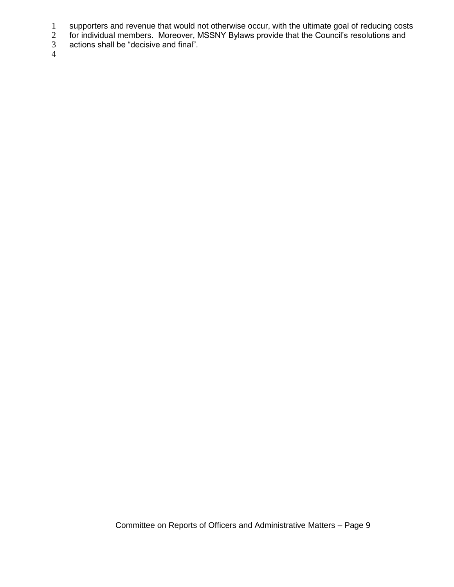- 1 supporters and revenue that would not otherwise occur, with the ultimate goal of reducing costs<br>
2 for individual members. Moreover, MSSNY Bylaws provide that the Council's resolutions and<br>
3 actions shall be "decisive a
- for individual members. Moreover, MSSNY Bylaws provide that the Council's resolutions and
- actions shall be "decisive and final".

4